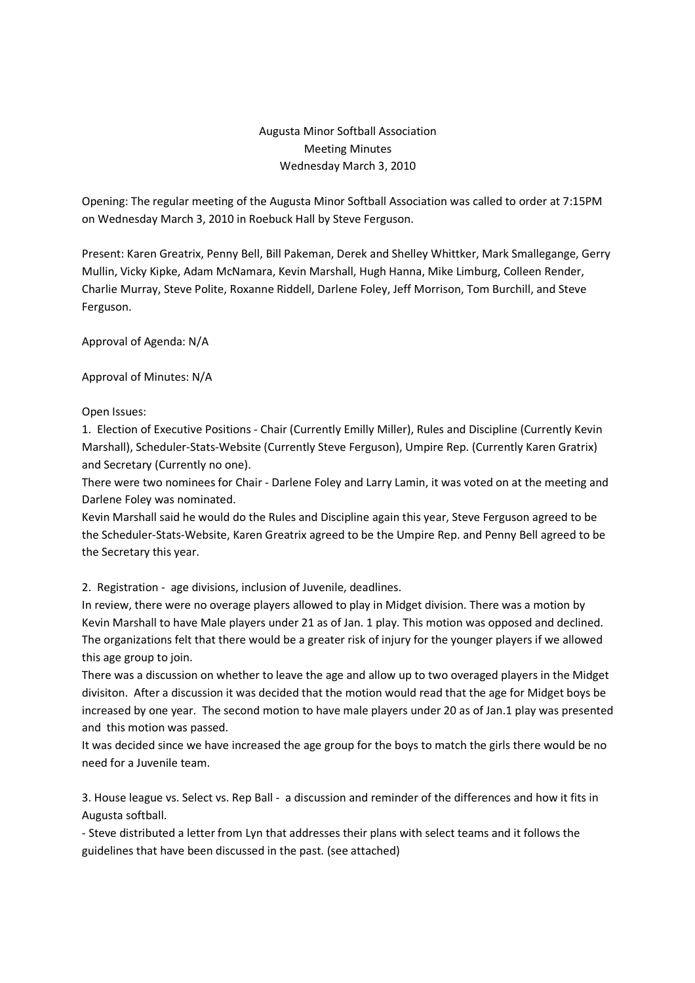## Augusta Minor Softball Association Meeting Minutes Wednesday March 3, 2010

Opening: The regular meeting of the Augusta Minor Softball Association was called to order at 7:15PM on Wednesday March 3, 2010 in Roebuck Hall by Steve Ferguson.

Present: Karen Greatrix, Penny Bell, Bill Pakeman, Derek and Shelley Whittker, Mark Smallegange, Gerry Mullin, Vicky Kipke, Adam McNamara, Kevin Marshall, Hugh Hanna, Mike Limburg, Colleen Render, Charlie Murray, Steve Polite, Roxanne Riddell, Darlene Foley, Jeff Morrison, Tom Burchill, and Steve Ferguson.

Approval of Agenda: N/A

Approval of Minutes: N/A

## Open Issues:

1. Election of Executive Positions - Chair (Currently Emilly Miller), Rules and Discipline (Currently Kevin Marshall), Scheduler-Stats-Website (Currently Steve Ferguson), Umpire Rep. (Currently Karen Gratrix) and Secretary (Currently no one).

There were two nominees for Chair - Darlene Foley and Larry Lamin, it was voted on at the meeting and Darlene Foley was nominated.

Kevin Marshall said he would do the Rules and Discipline again this year, Steve Ferguson agreed to be the Scheduler-Stats-Website, Karen Greatrix agreed to be the Umpire Rep. and Penny Bell agreed to be the Secretary this year.

2. Registration - age divisions, inclusion of Juvenile, deadlines.

In review, there were no overage players allowed to play in Midget division. There was a motion by Kevin Marshall to have Male players under 21 as of Jan. 1 play. This motion was opposed and declined. The organizations felt that there would be a greater risk of injury for the younger players if we allowed this age group to join.

There was a discussion on whether to leave the age and allow up to two overaged players in the Midget divisiton. After a discussion it was decided that the motion would read that the age for Midget boys be increased by one year. The second motion to have male players under 20 as of Jan.1 play was presented and this motion was passed.

It was decided since we have increased the age group for the boys to match the girls there would be no need for a Juvenile team.

3. House league vs. Select vs. Rep Ball - a discussion and reminder of the differences and how it fits in Augusta softball.

- Steve distributed a letter from Lyn that addresses their plans with select teams and it follows the guidelines that have been discussed in the past. (see attached)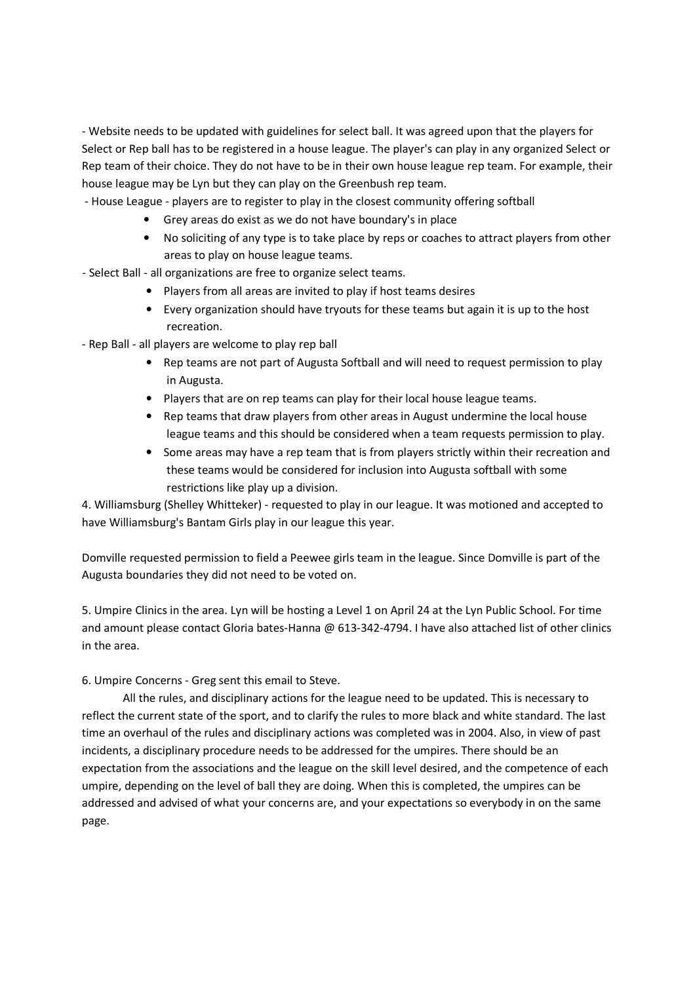- Website needs to be updated with guidelines for select ball. It was agreed upon that the players for Select or Rep ball has to be registered in a house league. The player's can play in any organized Select or Rep team of their choice. They do not have to be in their own house league rep team. For example, their house league may be Lyn but they can play on the Greenbush rep team.

- House League players are to register to play in the closest community offering softball
	- Grey areas do exist as we do not have boundary's in place
	- No soliciting of any type is to take place by reps or coaches to attract players from other areas to play on house league teams.
- Select Ball all organizations are free to organize select teams.
	- Players from all areas are invited to play if host teams desires
	- Every organization should have tryouts for these teams but again it is up to the host recreation.
- Rep Ball all players are welcome to play rep ball
	- Rep teams are not part of Augusta Softball and will need to request permission to play in Augusta.
	- Players that are on rep teams can play for their local house league teams.
	- Rep teams that draw players from other areas in August undermine the local house league teams and this should be considered when a team requests permission to play.
	- Some areas may have a rep team that is from players strictly within their recreation and these teams would be considered for inclusion into Augusta softball with some restrictions like play up a division.

4. Williamsburg (Shelley Whitteker) - requested to play in our league. It was motioned and accepted to have Williamsburg's Bantam Girls play in our league this year.

Domville requested permission to field a Peewee girls team in the league. Since Domville is part of the Augusta boundaries they did not need to be voted on.

5. Umpire Clinics in the area. Lyn will be hosting a Level 1 on April 24 at the Lyn Public School. For time and amount please contact Gloria bates-Hanna @ 613-342-4794. I have also attached list of other clinics in the area.

6. Umpire Concerns - Greg sent this email to Steve.

 All the rules, and disciplinary actions for the league need to be updated. This is necessary to reflect the current state of the sport, and to clarify the rules to more black and white standard. The last time an overhaul of the rules and disciplinary actions was completed was in 2004. Also, in view of past incidents, a disciplinary procedure needs to be addressed for the umpires. There should be an expectation from the associations and the league on the skill level desired, and the competence of each umpire, depending on the level of ball they are doing. When this is completed, the umpires can be addressed and advised of what your concerns are, and your expectations so everybody in on the same page.